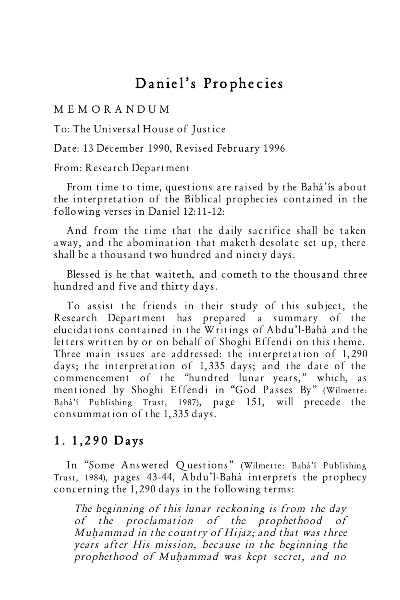# Daniel's Prophecies

#### M E M O R A N D U M

To: The Universal House of Justice

Date: 13 December 1990, Revised February 1996

#### From: Research Department

From time to time, questions are raised by the Bahá'ís about the interpretation of the Biblical prophecies contained in the following verses in Daniel 12:11-12:

And from the time that the daily sacrifice shall be taken away, and the abomination that maketh desolate set up, there shall be a thousand two hundred and ninety days.

Blessed is he that waiteth, and cometh to the thousand three hundred and five and thirty days.

To assist the friends in their study of this subject, the Research Department has prepared a summary of the elucidations contained in the Writings of Abdu'l-Bahá and the letters written by or on behalf of Shoghi Effendi on this theme. Three main issues are addressed: the interpretation of 1,290 days; the interpretation of 1,335 days; and the date of the commencement of the "hundred lunar years," which, as mentioned by Shoghi Effendi in "God Passes By" (Wilmette: Bahá'í Publishing Trust, 1987), page 151, will precede the consummation of the 1,335 days.

#### 1. 1,290 Days

In "Some Answered Questions" (Wilmette: Bahá'í Publishing Trust, 1984), pages 43-44, Abdu'l-Bahá interprets the prophecy concerning the 1,290 days in the following terms:

The beginning of this lunar reckoning is from the day of the proclamation of the prophethood of Muhammad in the country of Hijaz; and that was three years after His mission, because in the beginning the prophethood of Muhammad was kept secret, and no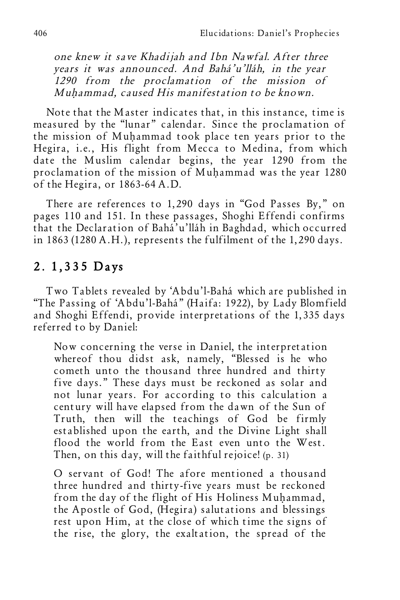one knew it save Khadijah and Ibn Nawfal. After three years it was announced. And Bahá'u'lláh, in the year 1290 from the proclamation of the mission of Muhammad, caused His manifestation to be known.

Note that the Master indicates that, in this instance, time is measured by the "lunar" calendar. Since the proclamation of the mission of Muhammad took place ten years prior to the Hegira, i.e., His flight from Mecca to Medina, from which date the Muslim calendar begins, the year 1290 from the proclamation of the mission of Muhammad was the year 1280 of the Hegira, or 1863-64 A.D.

There are references to 1,290 days in "God Passes By," on pages 110 and 151. In these passages, Shoghi Effendi confirms that the Declaration of Bahá'u'lláh in Baghdad, which occurred in 1863 (1280 A.H.), represents the fulfilment of the 1,290 days.

### 2. 1,335 Days

Two Tablets revealed by 'Abdu'l-Bahá which are published in "The Passing of 'Abdu'l-Bahá" (Haifa: 1922), by Lady Blomfield and Shoghi Effendi, provide interpretations of the 1,335 days referred to by Daniel:

Now concerning the verse in Daniel, the interpretation whereof thou didst ask, namely, "Blessed is he who cometh unto the thousand three hundred and thirty five days." These days must be reckoned as solar and not lunar years. For according to this calculation a century will have elapsed from the dawn of the Sun of Truth, then will the teachings of God be firmly established upon the earth, and the Divine Light shall flood the world from the East even unto the West. Then, on this day, will the faithful rejoice! (p. 31)

O servant of God! The afore mentioned a thousand three hundred and thirty-five years must be reckoned from the day of the flight of His Holiness Muhammad, the Apostle of God, (Hegira) salutations and blessings rest upon Him, at the close of which time the signs of the rise, the glory, the exaltation, the spread of the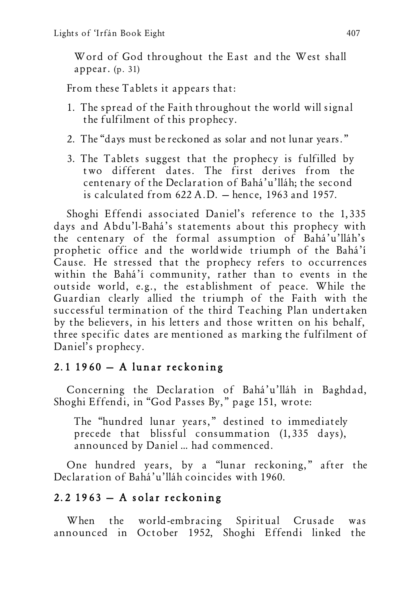Word of God throughout the East and the West shall appear. (p. 31)

From these Tablets it appears that:

- 1. The spread of the Faith throughout the world will signal the fulfilment of this prophecy.
- 2. The "days must be reckoned as solar and not lunar years."
- 3. The Tablets suggest that the prophecy is fulfilled by two different dates. The first derives from the centenary of the Declaration of Bahá'u'lláh; the second is calculated from 622 A.D. — hence, 1963 and 1957.

Shoghi Effendi associated Daniel's reference to the 1,335 days and Abdu'l-Bahá's statements about this prophecy with the centenary of the formal assumption of Bahá'u'lláh's prophetic office and the worldwide triumph of the Bahá'í Cause. He stressed that the prophecy refers to occurrences within the Bahá'í community, rather than to events in the outside world, e.g., the establishment of peace. While the Guardian clearly allied the triumph of the Faith with the successful termination of the third Teaching Plan undertaken by the believers, in his letters and those written on his behalf, three specific dates are mentioned as marking the fulfilment of Daniel's prophecy.

### $2.1$  1960  $-$  A lunar reckoning

Concerning the Declaration of Bahá'u'lláh in Baghdad, Shoghi Effendi, in "God Passes By," page 151, wrote:

The "hundred lunar years," destined to immediately precede that blissful consummation (1,335 days), announced by Daniel … had commenced.

One hundred years, by a "lunar reckoning," after the Declaration of Bahá'u'lláh coincides with 1960.

## $2.2$  1963 – A solar reckoning

When the world-embracing Spiritual Crusade was announced in October 1952, Shoghi Effendi linked the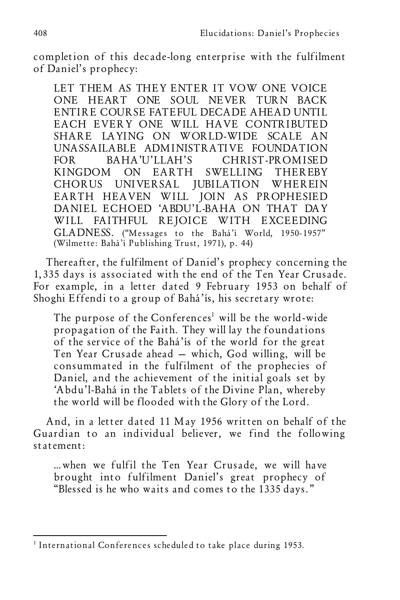completion of this decade-long enterprise with the fulfilment of Daniel's prophecy:

LET THEM AS THEY ENTER IT VOW ONE VOICE ONE HEART ONE SOUL NEVER TURN BACK ENTIRE COURSE FATEFUL DECADE AHEAD UNTIL EACH EVERY ONE WILL HAVE CONTRIBUTED SHARE LAYING ON WORLD-WIDE SCALE AN UNASSAILABLE ADMINISTRATIVE FOUNDATION FOR BAHA'U'LLAH'S CHRIST-PROMISED KINGDOM ON EARTH SWELLING THEREBY CHORUS UNIVERSAL JUBILATION WHEREIN EARTH HEAVEN WILL JOIN AS PROPHESIED DANIEL ECHOED 'ABDU'L-BAHA ON THAT DAY WILL FAITHFUL REJOICE WITH EXCEEDING GLADNESS. ("Messages to the Bahá'í World, 1950-1957" (Wilmette: Bahá'í Publishing Trust, 1971), p. 44)

Thereafter, the fulfilment of Daniel's prophecy concerning the 1,335 days is associated with the end of the Ten Year Crusade. For example, in a letter dated 9 February 1953 on behalf of Shoghi Effendi to a group of Bahá'ís, his secretary wrote:

The purpose of the Conferences <sup>1</sup> will be the world-wide propagation of the Faith. They will lay the foundations of the service of the Bahá'ís of the world for the great Ten Year Crusade ahead — which, God willing, will be consummated in the fulfilment of the prophecies of Daniel, and the achievement of the initial goals set by 'Abdu'l-Bahá in the Tablets of the Divine Plan, whereby the world will be flooded with the Glory of the Lord.

And, in a letter dated 11 May 1956 written on behalf of the Guardian to an individual believer, we find the following statement:

…when we fulfil the Ten Year Crusade, we will have brought into fulfilment Daniel's great prophecy of "Blessed is he who waits and comes to the 1335 days."

<sup>&</sup>lt;sup>1</sup> International Conferences scheduled to take place during 1953.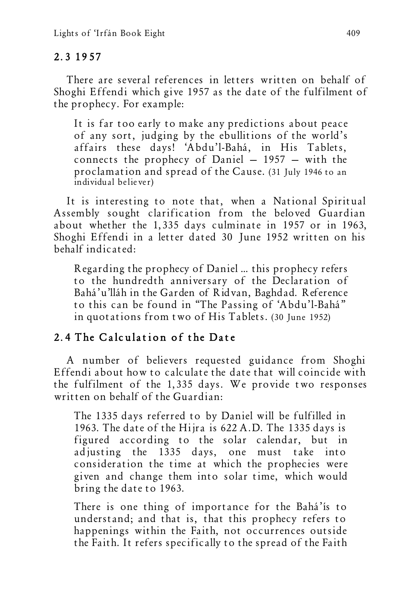#### 2.3 19 57

There are several references in letters written on behalf of Shoghi Effendi which give 1957 as the date of the fulfilment of the prophecy. For example:

It is far too early to make any predictions about peace of any sort, judging by the ebullitions of the world's affairs these days! 'Abdu'l-Bahá, in His Tablets, connects the prophecy of Daniel  $-1957 -$  with the proclamation and spread of the Cause. (31 July 1946 to an individual believer)

It is interesting to note that, when a National Spiritual Assembly sought clarification from the beloved Guardian about whether the 1,335 days culminate in 1957 or in 1963, Shoghi Effendi in a letter dated 30 June 1952 written on his behalf indicated:

Regarding the prophecy of Daniel … this prophecy refers to the hundredth anniversary of the Declaration of Bahá'u'lláh in the Garden of Ridvan, Baghdad. Reference to this can be found in "The Passing of 'Abdu'l-Bahá" in quotations from two of His Tablets. (30 June 1952)

### 2.4 The Calculation of the Date

A number of believers requested guidance from Shoghi Effendi about how to calculate the date that will coincide with the fulfilment of the 1,335 days. We provide two responses written on behalf of the Guardian:

The 1335 days referred to by Daniel will be fulfilled in 1963. The date of the Hijra is 622 A.D. The 1335 days is figured according to the solar calendar, but in adjusting the 1335 days, one must take into consideration the time at which the prophecies were given and change them into solar time, which would bring the date to 1963.

There is one thing of importance for the Bahá'ís to understand; and that is, that this prophecy refers to happenings within the Faith, not occurrences outside the Faith. It refers specifically to the spread of the Faith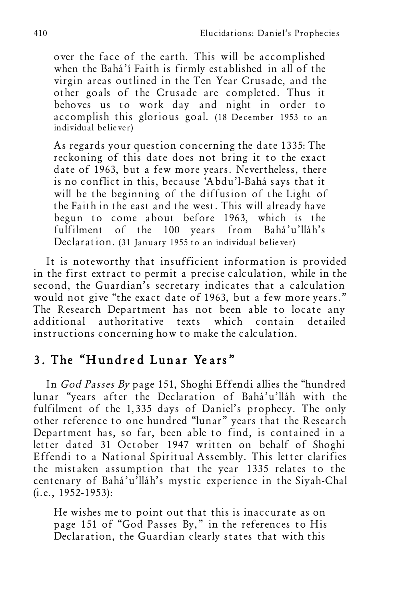over the face of the earth. This will be accomplished when the Bahá'í Faith is firmly established in all of the virgin areas outlined in the Ten Year Crusade, and the other goals of the Crusade are completed. Thus it behoves us to work day and night in order to accomplish this glorious goal. (18 December 1953 to an individual believer)

As regards your question concerning the date 1335: The reckoning of this date does not bring it to the exact date of 1963, but a few more years. Nevertheless, there is no conflict in this, because 'Abdu'l-Bahá says that it will be the beginning of the diffusion of the Light of the Faith in the east and the west. This will already have begun to come about before 1963, which is the fulfilment of the 100 years from Bahá'u'lláh's Declaration. (31 January 1955 to an individual believer)

It is noteworthy that insufficient information is provided in the first extract to permit a precise calculation, while in the second, the Guardian's secretary indicates that a calculation would not give "the exact date of 1963, but a few more years." The Research Department has not been able to locate any additional authoritative texts which contain detailed instructions concerning how to make the calculation.

# 3. The "Hundred Lunar Ye ars"

In God Passes By page 151, Shoghi Effendi allies the "hundred lunar "years after the Declaration of Bahá'u'lláh with the fulfilment of the 1,335 days of Daniel's prophecy. The only other reference to one hundred "lunar" years that the Research Department has, so far, been able to find, is contained in a letter dated 31 October 1947 written on behalf of Shoghi Effendi to a National Spiritual Assembly. This letter clarifies the mistaken assumption that the year 1335 relates to the centenary of Bahá'u'lláh's mystic experience in the Siyah-Chal (i.e., 1952-1953):

He wishes me to point out that this is inaccurate as on page 151 of "God Passes By," in the references to His Declaration, the Guardian clearly states that with this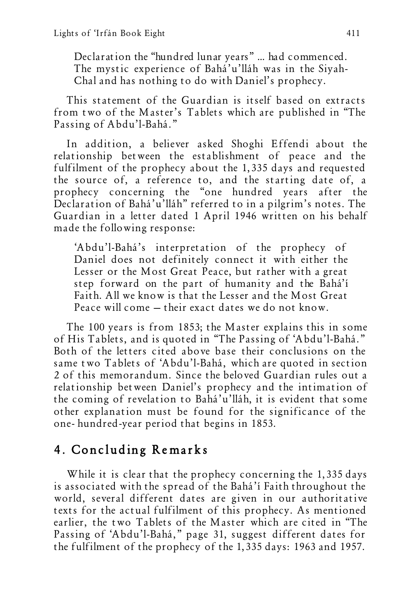Declaration the "hundred lunar years" … had commenced. The mystic experience of Bahá'u'lláh was in the Siyah-Chal and has nothing to do with Daniel's prophecy.

This statement of the Guardian is itself based on extracts from two of the Master's Tablets which are published in "The Passing of Abdu'l-Bahá."

In addition, a believer asked Shoghi Effendi about the relationship between the establishment of peace and the fulfilment of the prophecy about the 1,335 days and requested the source of, a reference to, and the starting date of, a prophecy concerning the "one hundred years after the Declaration of Bahá'u'lláh" referred to in a pilgrim's notes. The Guardian in a letter dated 1 April 1946 written on his behalf made the following response:

'Abdu'l-Bahá's interpretation of the prophecy of Daniel does not definitely connect it with either the Lesser or the Most Great Peace, but rather with a great step forward on the part of humanity and the Bahá'í Faith. All we know is that the Lesser and the Most Great Peace will come — their exact dates we do not know.

The 100 years is from 1853; the Master explains this in some of His Tablets, and is quoted in "The Passing of 'Abdu'l-Bahá." Both of the letters cited above base their conclusions on the same two Tablets of 'Abdu'l-Bahá, which are quoted in section 2 of this memorandum. Since the beloved Guardian rules out a relationship between Daniel's prophecy and the intimation of the coming of revelation to Bahá'u'lláh, it is evident that some other explanation must be found for the significance of the one- hundred-year period that begins in 1853.

## 4. Concluding Remarks

While it is clear that the prophecy concerning the 1,335 days is associated with the spread of the Bahá'í Faith throughout the world, several different dates are given in our authoritative texts for the actual fulfilment of this prophecy. As mentioned earlier, the two Tablets of the Master which are cited in "The Passing of 'Abdu'l-Bahá," page 31, suggest different dates for the fulfilment of the prophecy of the 1,335 days: 1963 and 1957.